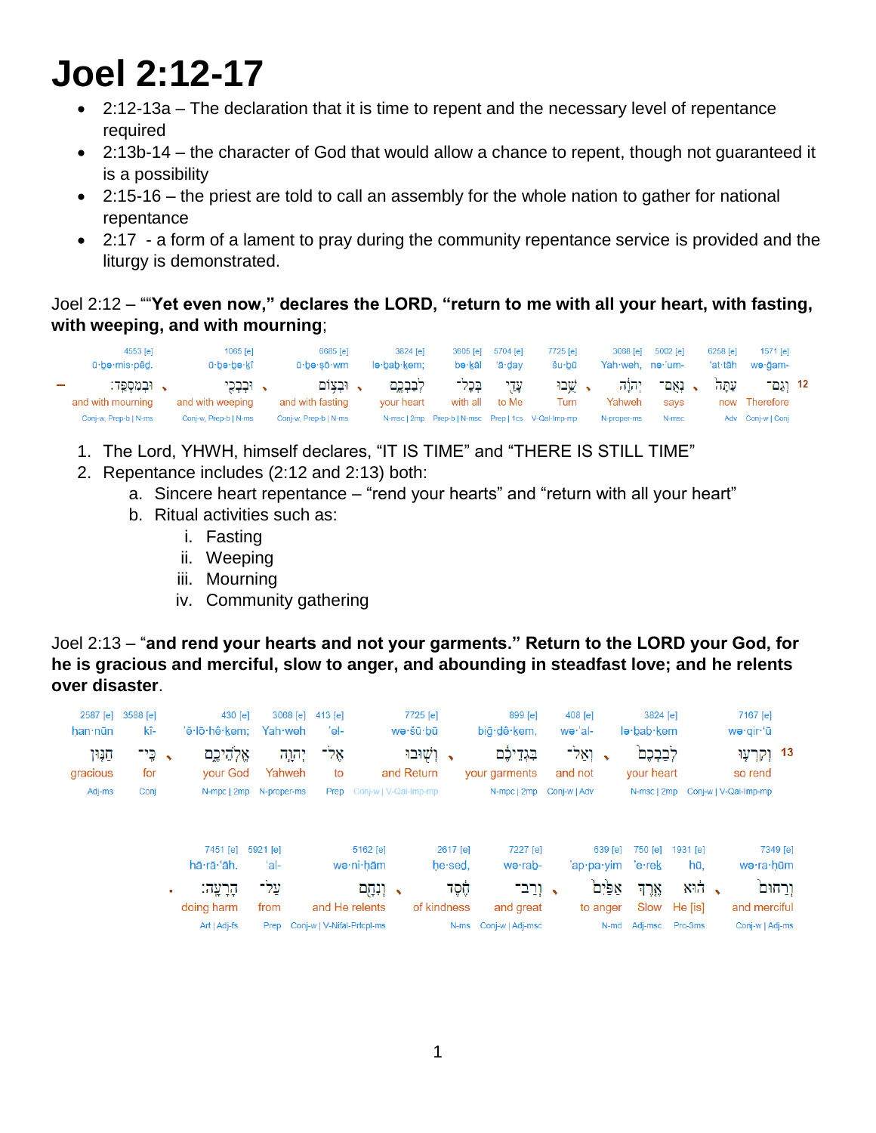## **Joel 2:12-17**

- 2:12-13a The declaration that it is time to repent and the necessary level of repentance required
- 2:13b-14 the character of God that would allow a chance to repent, though not guaranteed it is a possibility
- 2:15-16 the priest are told to call an assembly for the whole nation to gather for national repentance
- 2:17 a form of a lament to pray during the community repentance service is provided and the liturgy is demonstrated.

Joel 2:12 – ""**Yet even now," declares the LORD, "return to me with all your heart, with fasting, with weeping, and with mourning**;

| 4553 [e]<br>ū·bə·mis·pêd.                                        | $1065$ $[el]$<br>ū·bə·bə·kî     | 6685 [e]<br>ū∙bə∙sō∙wm      | 3824 [e]<br>le·bab·kem: | bə∙kāl              | 3605 [e] 5704 [e]<br>'ā∙dav | 7725 [e]<br>šu bū | Yah weh. ne 'um- | 3068 [e] 5002 [e] | 6258 [e]<br>ʻat∙tāh | 1571 [e]<br>wə∙ğam-  |  |
|------------------------------------------------------------------|---------------------------------|-----------------------------|-------------------------|---------------------|-----------------------------|-------------------|------------------|-------------------|---------------------|----------------------|--|
| . וּבְמִסְפֵּד:<br>$\overline{\phantom{a}}$<br>and with mourning | , וּבִבְכֵי<br>and with weeping | . ובצום<br>and with fasting | לבבכם<br>vour heart     | בִּכְל־<br>with all | עדי<br>to Me                | ג שֵׁבוּ<br>Turn  | יהוה<br>Yahweh   | - נאם             | עתה                 | 12 וגם־<br>Therefore |  |
| Conj-w, Prep-b   N-ms                                            | Conj-w, Prep-b   N-ms           | Conj-w, Prep-b   N-ms       |                         |                     |                             |                   | N-proper-ms      | says<br>N-msc     | now                 | Adv Conj-w   Conj    |  |

- 1. The Lord, YHWH, himself declares, "IT IS TIME" and "THERE IS STILL TIME"
- 2. Repentance includes (2:12 and 2:13) both:
	- a. Sincere heart repentance "rend your hearts" and "return with all your heart"
	- b. Ritual activities such as:
		- i. Fasting
		- ii. Weeping
		- iii. Mourning
		- iv. Community gathering

Joel 2:13 – "**and rend your hearts and not your garments." Return to the LORD your God, for he is gracious and merciful, slow to anger, and abounding in steadfast love; and he relents over disaster**.

| 2587 [e]<br>han nūn | 3588 [e]<br>kî-            | 430 [e]<br>'ĕ∙lō∙hê∙kem; | 3068 [e]<br>Yah weh | 413 [e]<br>'el-            |                                           | 7725 [e]<br>wə·šū·bū       |                  | 899 [e]<br>big·dê·kem,        | 408 [e]<br>we·'al-          | 3824 [e]<br>le·bab·kem  |          |           | 7167 [e]<br>wə∙qir∙'ū |                    |
|---------------------|----------------------------|--------------------------|---------------------|----------------------------|-------------------------------------------|----------------------------|------------------|-------------------------------|-----------------------------|-------------------------|----------|-----------|-----------------------|--------------------|
| חַנְוּן<br>gracious | $\Gamma$ , $\Gamma$<br>for | אֱלְהֵיכֱם<br>your God   | יהוה:<br>Yahweh     | אֵל־<br>to                 |                                           | √ וְשָׁוּבוּ<br>and Return |                  | בִּגְדֵיכֶּם<br>your garments | - וְאֵל־<br>and not         | לְבַבְכֶם<br>your heart |          |           | so rend               | 13 וְקִרְעָוּ      |
| Adj-ms              | Conj                       | N-mpc   2mp N-proper-ms  |                     |                            | Prep Conj-w   V-Qal-Imp-mp                |                            |                  | N-mpc   2mp Conj-w   Adv      |                             | N-msc   2mp             |          |           | Conj-w   V-Qal-Imp-mp |                    |
|                     |                            | 7451 [e]                 | 5921 [e]            |                            | 5162 [e]                                  |                            | 2617 [e]         | 7227 [e]                      | $639$ [e]                   | 750 [e]                 | 1931 [e] |           |                       | 7349 [e]           |
|                     |                            | hā·rā·'āh.<br>ּהָרָעָה:  | 'al-<br>עַל־        |                            | wə∙ni∙hām<br>$\overline{\phantom{a}}$ ; ( |                            | he sed.<br>הָסֶד | we·rab-<br>ּי וְרַב־          | 'ap·pa·yim 'e·rek<br>אפּיִם | ארד                     | hū.      | $837 - 1$ |                       | wə·ra·hūm<br>ורחום |
|                     |                            | doing harm               | from                |                            | and He relents                            | of kindness                |                  | and great                     | to anger                    | Slow                    | He [is]  |           | and merciful          |                    |
|                     |                            | Art   Adj-fs             | Prep                | Conj-w   V-Nifal-Prtcpl-ms |                                           |                            | N-ms             | Conj-w   Adj-msc              |                             | N-md Adj-msc            | Pro-3ms  |           | Conj-w   Adj-ms       |                    |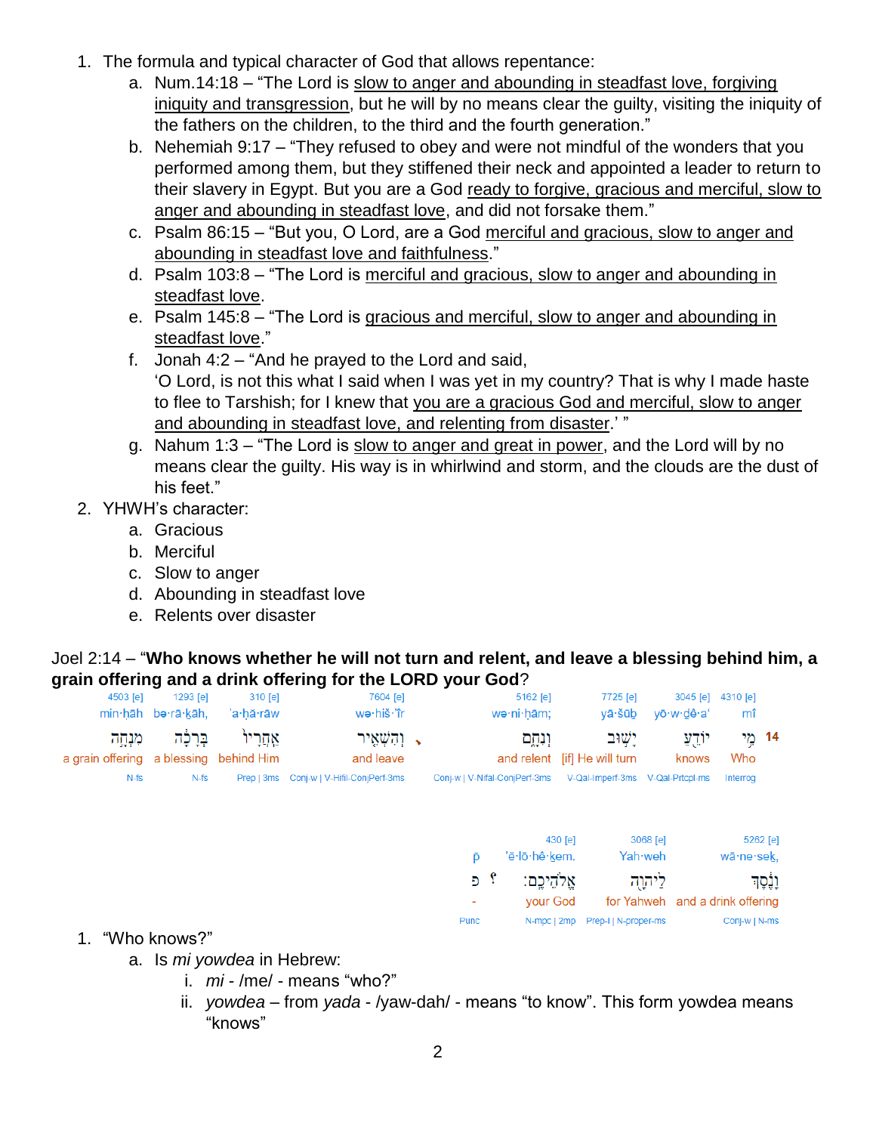- 1. The formula and typical character of God that allows repentance:
	- a. Num.14:18 "The Lord is slow to anger and abounding in steadfast love, forgiving iniquity and transgression, but he will by no means clear the guilty, visiting the iniquity of the fathers on the children, to the third and the fourth generation."
	- b. Nehemiah 9:17 "They refused to obey and were not mindful of the wonders that you performed among them, but they stiffened their neck and appointed a leader to return to their slavery in Egypt. But you are a God ready to forgive, gracious and merciful, slow to anger and abounding in steadfast love, and did not forsake them."
	- c. Psalm 86:15 "But you, O Lord, are a God merciful and gracious, slow to anger and abounding in steadfast love and faithfulness."
	- d. Psalm 103:8 "The Lord is merciful and gracious, slow to anger and abounding in steadfast love.
	- e. Psalm 145:8 "The Lord is gracious and merciful, slow to anger and abounding in steadfast love."
	- f. Jonah 4:2 "And he prayed to the Lord and said, 'O Lord, is not this what I said when I was yet in my country? That is why I made haste to flee to Tarshish; for I knew that you are a gracious God and merciful, slow to anger and abounding in steadfast love, and relenting from disaster.' "
	- g. Nahum 1:3 "The Lord is slow to anger and great in power, and the Lord will by no means clear the guilty. His way is in whirlwind and storm, and the clouds are the dust of his feet."
- 2. YHWH's character:
	- a. Gracious
	- b. Merciful
	- c. Slow to anger
	- d. Abounding in steadfast love
	- e. Relents over disaster

## Joel 2:14 – "**Who knows whether he will not turn and relent, and leave a blessing behind him, a grain offering and a drink offering for the LORD your God**?

| 4503 [e]                           | 1293 [e]               | $310$ [e]               | 7604 [e]                                 |          | 5162 [e]                                |         | 7725 [e]                                |                              | 3045 [e]         | 4310 [e]                                      |                     |
|------------------------------------|------------------------|-------------------------|------------------------------------------|----------|-----------------------------------------|---------|-----------------------------------------|------------------------------|------------------|-----------------------------------------------|---------------------|
|                                    | min·hāh bə·rā·kāh,     | 'a·hă·rāw               | wə·hiš·'îr                               |          | we·ni·hām;                              |         | vā∙šūb                                  |                              | yō·w·dê·a'       | mî                                            |                     |
| מִנְחָָה<br>a grain offering       | בְּרָכָה<br>a blessing | אַחֲרָיוֹ<br>behind Him | ר והשאיר <b>.</b><br>and leave           |          | וִנְחֶם                                 |         | יָשׁוּב<br>and relent [if] He will turn |                              | יוֹדֻעַ<br>knows | Who                                           | 14 מֶי              |
| $N-fs$                             | $N-fs$                 |                         | Prep   3ms Conj-w   V-Hifil-ConjPerf-3ms |          | Conj-w   V-Nifal-ConjPerf-3ms           |         | V-Qal-Imperf-3ms V-Qal-Prtcpl-ms        |                              |                  | Interrog                                      |                     |
|                                    |                        |                         |                                          | Đ<br>? פ | 'ě·lō·hê·kem.<br>אֵלהֵיכֵם:<br>your God | 430 [e] |                                         | 3068 [e]<br>Yah weh<br>ליהוה |                  | wā·ne·sek,<br>for Yahweh and a drink offering | 5262 [e]<br>וֶנֶסֶד |
| $\sim$ $\sim$ $\sim$ $\sim$ $\sim$ | $-$                    |                         |                                          | Punc     | N-mpc   2mp                             |         | Prep-I   N-proper-ms                    |                              |                  | Conj-w   N-ms                                 |                     |

- 1. "Who knows?"
	- a. Is *mi yowdea* in Hebrew:
		- i. *mi* /me/ means "who?"
		- ii. *yowdea* from *yada* /yaw-dah/ means "to know". This form yowdea means "knows"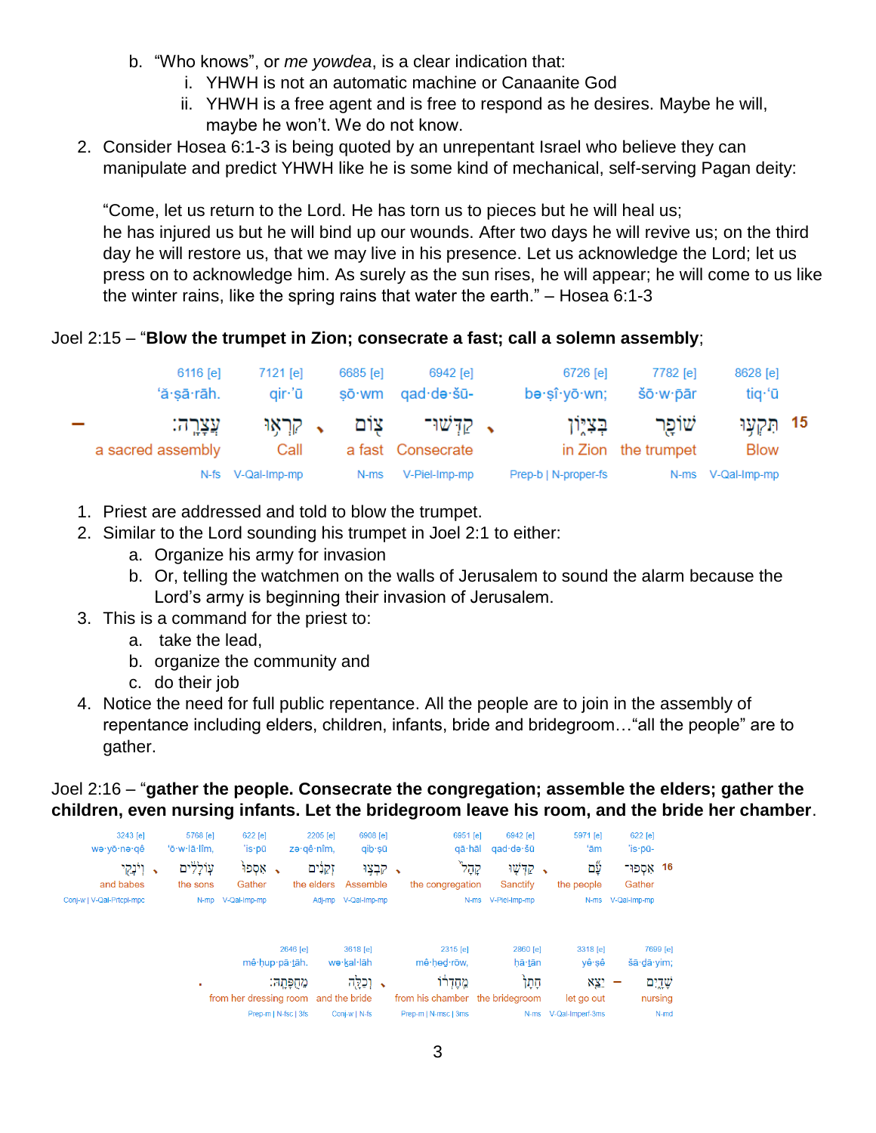- b. "Who knows", or *me yowdea*, is a clear indication that:
	- i. YHWH is not an automatic machine or Canaanite God
	- ii. YHWH is a free agent and is free to respond as he desires. Maybe he will, maybe he won't. We do not know.
- 2. Consider Hosea 6:1-3 is being quoted by an unrepentant Israel who believe they can manipulate and predict YHWH like he is some kind of mechanical, self-serving Pagan deity:

"Come, let us return to the Lord. He has torn us to pieces but he will heal us; he has injured us but he will bind up our wounds. After two days he will revive us; on the third day he will restore us, that we may live in his presence. Let us acknowledge the Lord; let us press on to acknowledge him. As surely as the sun rises, he will appear; he will come to us like the winter rains, like the spring rains that water the earth." – Hosea 6:1-3

## Joel 2:15 – "**Blow the trumpet in Zion; consecrate a fast; call a solemn assembly**;

|        | 6116 <b>[e]</b><br>'ă∙sā∙rāh. | 7121 [e]<br>air 'ū | 6685 [e]<br>sō∙wm | 6942 [e]<br>qad·də·šū-            | 6726 [e]<br>bə·şî·yō·wn; | 7782 [e]<br>šō·w·pār        | 8628 [e]<br>tiq·'ū          |  |
|--------|-------------------------------|--------------------|-------------------|-----------------------------------|--------------------------|-----------------------------|-----------------------------|--|
| $\sim$ | עֲצַרֵה:<br>a sacred assembly | ג קראו<br>Call     | צום               | קישוי $\sim$<br>a fast Consecrate | בִצְיִוּן                | שופר<br>in Zion the trumpet | 15 הָקִעָּוּ<br><b>Blow</b> |  |
|        |                               | N-fs V-Qal-Imp-mp  | N-ms              | V-Piel-Imp-mp                     | Prep-b   N-proper-fs     |                             | N-ms V-Qal-Imp-mp           |  |

- 1. Priest are addressed and told to blow the trumpet.
- 2. Similar to the Lord sounding his trumpet in Joel 2:1 to either:
	- a. Organize his army for invasion
	- b. Or, telling the watchmen on the walls of Jerusalem to sound the alarm because the Lord's army is beginning their invasion of Jerusalem.
- 3. This is a command for the priest to:
	- a. take the lead,
	- b. organize the community and
	- c. do their job
- 4. Notice the need for full public repentance. All the people are to join in the assembly of repentance including elders, children, infants, bride and bridegroom…"all the people" are to gather.

## Joel 2:16 – "**gather the people. Consecrate the congregation; assemble the elders; gather the children, even nursing infants. Let the bridegroom leave his room, and the bride her chamber**.

| 3243 [e]<br>we·yō·ne·qê<br>→ וְיֹנְקֵי<br>and babes | 5768 [e]<br>'ō·w·lā·lîm.<br>עוללים<br>the sons | $622$ [e]<br>′is∙pū<br>אִסְפוֹ<br>Gather | zə gê nîm, | 2205 [e]<br>זקנים<br>the elders | 6908 [e]<br>qib∙şū<br>→ קִבְצִוּ<br>Assemble |  | 6951 [e]<br>qā·hāl<br>קָדֶל<br>the congregation |                    | 6942 [e]<br>qad∙də∙šū<br>קדְשָׁוּ<br>Sanctify | $\hat{\phantom{a}}$ | 5971 [e]<br>ʻām<br>۵ý<br>the people | 622 [e]<br>$i$ s-pū-<br>16 אספוּ־<br>Gather |                     |
|-----------------------------------------------------|------------------------------------------------|------------------------------------------|------------|---------------------------------|----------------------------------------------|--|-------------------------------------------------|--------------------|-----------------------------------------------|---------------------|-------------------------------------|---------------------------------------------|---------------------|
| Conj-w   V-Qal-Prtcpl-mpc                           |                                                | N-mp V-Qal-Imp-mp                        |            |                                 | Adj-mp V-Qal-Imp-mp                          |  |                                                 | N-ms V-Piel-Imp-mp |                                               |                     | N-ms                                | V-Qal-Imp-mp                                |                     |
|                                                     |                                                | mê hup pā tāh.                           | 2646 [e]   |                                 | 3618 [e]<br>we·kal·lāh                       |  | 2315 [e]<br>mê hed rōw.                         |                    | 2860 [e]<br>hā tān                            |                     | 3318 [e]<br>yê sê                   | šā·dā·yim;                                  | 7699 [e]            |
|                                                     | ٠                                              | from her dressing room                   | מחפתה:     |                                 | → וְכַלֻּה<br>and the bride                  |  | מחדרו<br>from his chamber the bridegroom        |                    | ֿקָמֶּך                                       |                     | XX?<br>let go out                   |                                             | שְׁדֵיִם<br>nursing |
|                                                     |                                                | Prep-m   N-fsc   3fs                     |            |                                 | Conj-w   N-fs                                |  | Prep-m   N-msc   3ms                            |                    | $N-ms$                                        |                     | V-Qal-Imperf-3ms                    |                                             | $N$ -md             |